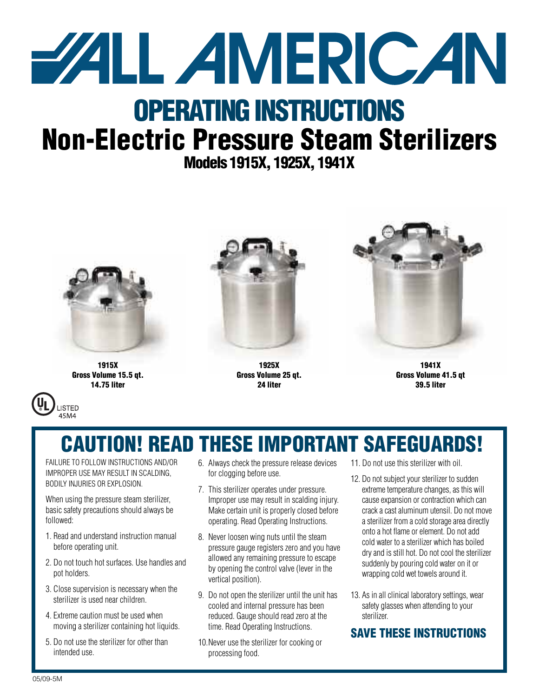

# **OPERATING INSTRUCTIONS Non-Electric Pressure Steam Sterilizers**

**Models 1915X, 1925X, 1941X**



**1915X Gross Volume 15.5 qt. 14.75 liter**

**LISTED** 45M4



**1925X Gross Volume 25 qt. 24 liter**



**1941X Gross Volume 41.5 qt 39.5 liter**

# **CAUTION! READ THESE IMPORTANT SAFEGUARDS!**

FAILURE TO FOLLOW INSTRUCTIONS AND/OR IMPROPER USE MAY RESULT IN SCALDING, BODILY INJURIES OR EXPLOSION.

When using the pressure steam sterilizer, basic safety precautions should always be followed:

- 1. Read and understand instruction manual before operating unit.
- 2. Do not touch hot surfaces. Use handles and pot holders.
- 3. Close supervision is necessary when the sterilizer is used near children.
- 4. Extreme caution must be used when moving a sterilizer containing hot liquids.
- 5. Do not use the sterilizer for other than intended use.
- 6. Always check the pressure release devices for clogging before use.
- 7. This sterilizer operates under pressure. Improper use may result in scalding injury. Make certain unit is properly closed before operating. Read Operating Instructions.
- 8. Never loosen wing nuts until the steam pressure gauge registers zero and you have allowed any remaining pressure to escape by opening the control valve (lever in the vertical position).
- 9. Do not open the sterilizer until the unit has cooled and internal pressure has been reduced. Gauge should read zero at the time. Read Operating Instructions.
- 10.Never use the sterilizer for cooking or processing food.
- 11. Do not use this sterilizer with oil.
- 12. Do not subject your sterilizer to sudden extreme temperature changes, as this will cause expansion or contraction which can crack a cast aluminum utensil. Do not move a sterilizer from a cold storage area directly onto a hot flame orelement. Do notadd cold water to asterilizer which has boiled dry and is still hot. Do not cool the sterilizer suddenly by pouring cold water on it or wrapping cold wet towels around it.
- 13. As in all clinical laboratory settings, wear safety glasses when attending to your sterilizer.

### **SAVE THESE INSTRUCTIONS**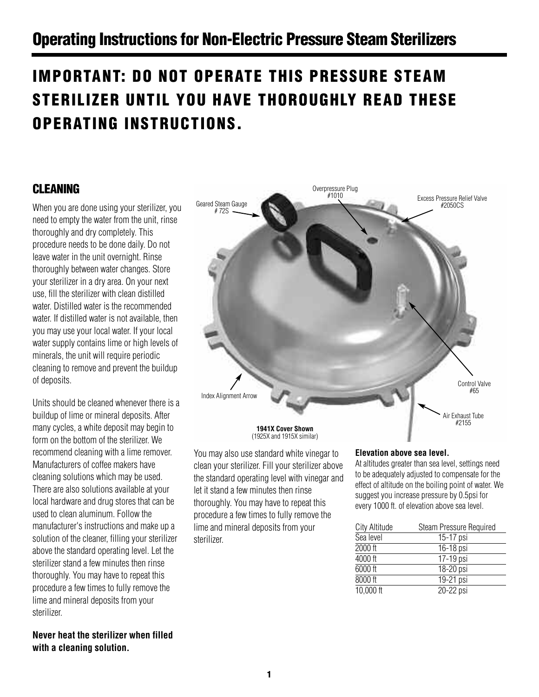## **Operating Instructions for Non-Electric Pressure Steam Sterilizers**

# **IMPORTANT: DO NOT OPERATE THIS PRESSURE STEAM STERILIZER UNTIL YOU HAVE THOROUGHLY READ THESE OPERATING INSTRUCTIONS.**

## **CLEANING**

When you are done using your sterilizer, you need to empty the water from the unit, rinse thoroughly and dry completely. This procedure needs to be done daily. Do not leave water in the unit overnight. Rinse thoroughly between water changes. Store your sterilizer in a dry area. On your next use, fill the sterilizer with clean distilled water. Distilled water is the recommended water. If distilled water is not available, then you may use your local water. If your local water supply contains lime or high levels of minerals, the unit will require periodic cleaning to remove and prevent the buildup of deposits.

Units should be cleaned whenever there is a buildup of lime or mineral deposits. After many cycles, a white deposit may begin to form on the bottom of the sterilizer. We recommend cleaning with a lime remover. Manufacturers of coffee makers have cleaning solutions which may be used. There are also solutions available at your local hardware and drug stores that can be used to clean aluminum. Follow the manufacturer's instructions and make up a solution of the cleaner, filling your sterilizer above the standard operating level. Let the sterilizer stand a few minutes then rinse thoroughly. You may have to repeat this procedure a few times to fully remove the lime and mineral deposits from your sterilizer.

### **Never heat the sterilizer when filled with a cleaning solution.**



You may also use standard white vinegar to clean your sterilizer. Fill your sterilizer above the standard operating level with vinegar and let it stand a few minutes then rinse thoroughly. You may have to repeat this procedure a few times to fully remove the lime and mineral deposits from your sterilizer.

### **Elevation above sea level.**

At altitudes greater than sea level, settings need to be adequately adjusted to compensate for the effect of altitude on the boiling point of water. We suggest you increase pressure by 0.5psi for every 1000 ft. of elevation above sea level.

| City Altitude | <b>Steam Pressure Required</b> |
|---------------|--------------------------------|
| Sea level     | 15-17 psi                      |
| 2000 ft       | 16-18 psi                      |
| 4000 ft       | 17-19 psi                      |
| 6000 ft       | 18-20 psi                      |
| 8000 ft       | 19-21 psi                      |
| 10,000 ft     | 20-22 psi                      |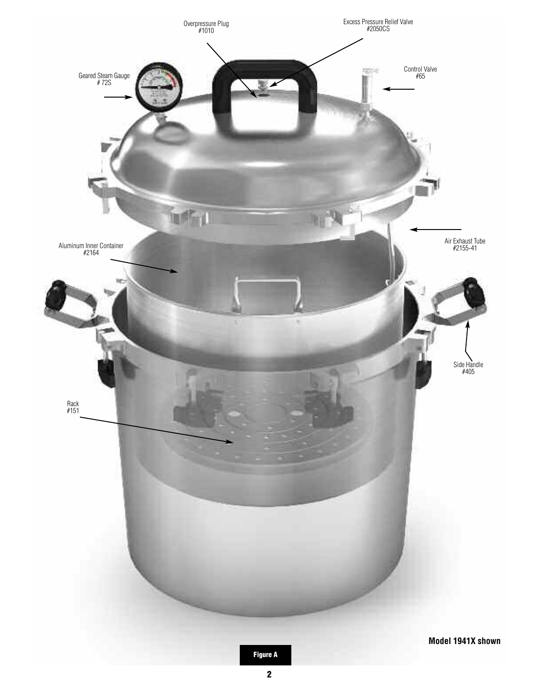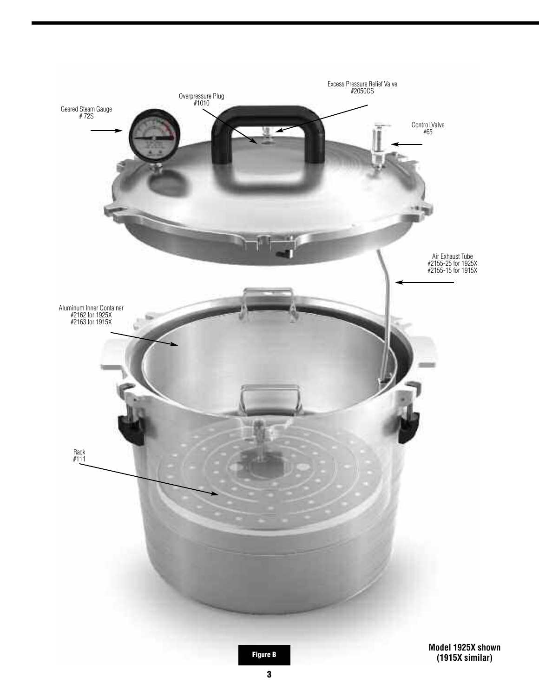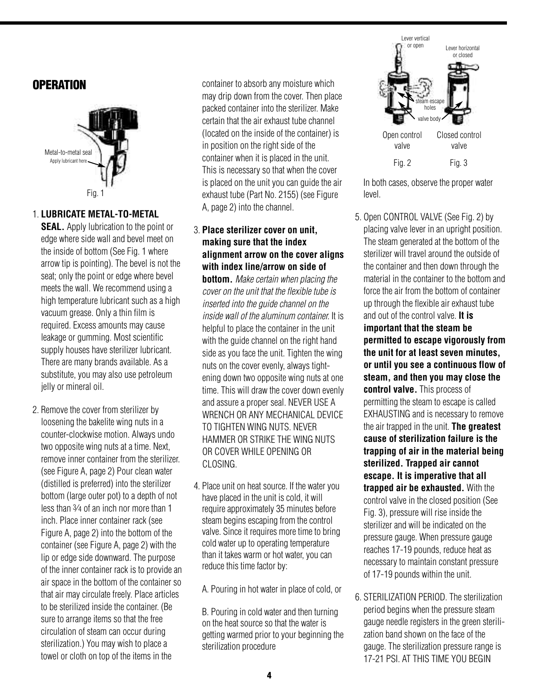### **OPERATION**



### 1. **LUBRICATE METAL-TO-METAL**

**SEAL.** Apply lubrication to the point or edge where side wall and bevel meet on the inside of bottom (See Fig. 1 where arrow tip is pointing). The bevel is not the seat; only the point or edge where bevel meets the wall. We recommend using a high temperature lubricant such as a high vacuum grease. Only a thin film is required. Excess amounts may cause leakage or gumming. Most scientific supply houses have sterilizer lubricant. There are many brands available. As a substitute, you may also use petroleum jelly or mineral oil.

2. Remove the cover from sterilizer by loosening the bakelite wing nuts in a counter-clockwise motion. Always undo two opposite wing nuts at a time. Next, remove inner container from the sterilizer. (see Figure A, page 2) Pour clean water (distilled is preferred) into the sterilizer bottom (large outer pot) to a depth of not less than 3⁄4 of an inch nor more than 1 inch. Place inner container rack (see Figure A, page 2) into the bottom of the container (see Figure A, page 2) with the lip or edge side downward. The purpose of the inner container rack is to provide an air space in the bottom of the container so that air may circulate freely. Place articles to be sterilized inside the container. (Be sure to arrange items so that the free circulation of steam can occur during sterilization.) You may wish to place a towel or cloth on top of the items in the

container to absorb any moisture which may drip down from the cover. Then place packed container into the sterilizer. Make certain that the air exhaust tube channel (located on the inside of the container) is in position on the right side of the container when it is placed in the unit. This is necessary so that when the cover is placed on the unit you can guide the air exhaust tube (Part No. 2155) (see Figure A, page 2) into the channel.

### 3. **Place sterilizer cover on unit, making sure that the index alignment arrow on the cover aligns with index line/arrow on side of**

**bottom.** *Make certain when placing the cover on the unit that the flexible tube is inserted into the guide channel on the inside wall of the aluminum container.* It is helpful to place the container in the unit with the guide channel on the right hand side as you face the unit. Tighten the wing nuts on the cover evenly, always tightening down two opposite wing nuts at one time. This will draw the cover down evenly and assure a proper seal. NEVER USE A WRENCH OR ANY MECHANICAL DEVICE TO TIGHTEN WING NUTS. NEVER HAMMER OR STRIKE THE WING NUTS OR COVER WHILE OPENING OR CLOSING.

4. Place unit on heat source. If the water you have placed in the unit is cold, it will require approximately 35 minutes before steam begins escaping from the control valve. Since it requires more time to bring cold water up to operating temperature than it takes warm or hot water, you can reduce this time factor by:

A. Pouring in hot water in place of cold, or

B. Pouring in cold water and then turning on the heat source so that the water is getting warmed prior to your beginning the sterilization procedure



In both cases, observe the proper water level.

- 5. Open CONTROL VALVE (See Fig. 2) by placing valve lever in an upright position. The steam generated at the bottom of the sterilizer will travel around the outside of the container and then down through the material in the container to the bottom and force the air from the bottom of container up through the flexible air exhaust tube and out of the control valve. **It is important that the steam be permitted to escape vigorously from the unit for at least seven minutes, or until you see a continuous flow of steam, and then you may close the control valve.** This process of permitting the steam to escape is called EXHAUSTING and is necessary to remove the air trapped in the unit. **The greatest cause of sterilization failure is the trapping of air in the material being sterilized. Trapped air cannot escape. It is imperative that all trapped air be exhausted.** With the control valve in the closed position (See Fig. 3), pressure will rise inside the sterilizer and will be indicated on the pressure gauge. When pressure gauge reaches 17-19 pounds, reduce heat as necessary to maintain constant pressure of 17-19 pounds within the unit.
- 6. STERILIZATION PERIOD. The sterilization period begins when the pressure steam gauge needle registers in the green sterilization band shown on the face of the gauge. The sterilization pressure range is 17-21 PSI. AT THIS TIME YOU BEGIN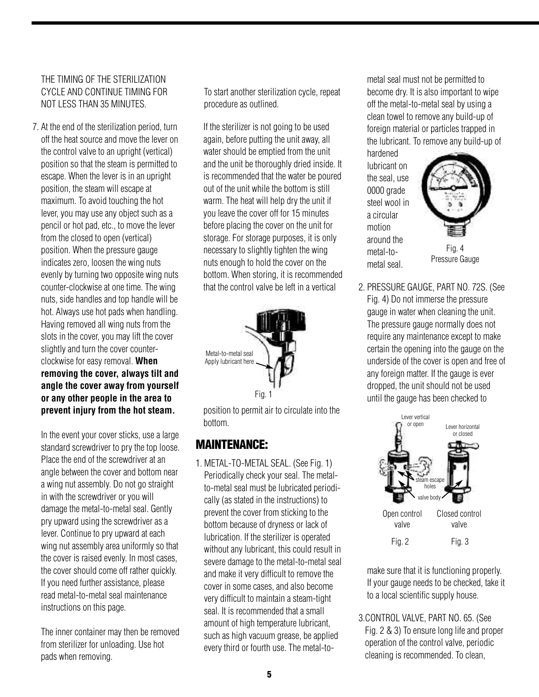### THE TIMING OF THE STERILIZATION CYCLE AND CONTINUE TIMING FOR NOT LESS THAN 35 MINUTES.

7. At the end of the sterilization period, turn off the heat source and move the lever on the control valve to an upright (vertical) position so that the steam is permitted to escape. When the lever is in an upright position, the steam will escape at maximum. To avoid touching the hot lever, you may use any object such as a pencil or hot pad, etc., to move the lever from the closed to open (vertical) position. When the pressure gauge indicates zero, loosen the wing nuts evenly by turning two opposite wing nuts counter-clockwise at one time. The wing nuts, side handles and top handle will be hot. Always use hot pads when handling. Having removed all wing nuts from the slots in the cover, you may lift the cover slightly and turn the cover counterclockwise for easy removal. **When removing the cover, always tilt and angle the cover away from yourself or any other people in the area to prevent injury from the hot steam.**

In the event your cover sticks, use a large standard screwdriver to pry the top loose. Place the end of the screwdriver at an angle between the cover and bottom near a wing nut assembly. Do not go straight in with the screwdriver or you will damage the metal-to-metal seal. Gently pry upward using the screwdriver as a lever. Continue to pry upward at each wing nut assembly area uniformly so that the cover is raised evenly. In most cases, the cover should come off rather quickly. If you need further assistance, please read metal-to-metal seal maintenance instructions on this page.

The inner container may then be removed from sterilizer for unloading. Use hot pads when removing.

To start another sterilization cycle, repeat procedure as outlined.

If the sterilizer is not going to be used again, before putting the unit away, all water should be emptied from the unit and the unit be thoroughly dried inside. It is recommended that the water be poured out of the unit while the bottom is still warm. The heat will help dry the unit if you leave the cover off for 15 minutes before placing the cover on the unit for storage. For storage purposes, it is only necessary to slightly tighten the wing nuts enough to hold the cover on the bottom. When storing, it is recommended that the control valve be left in a vertical



position to permit air to circulate into the bottom.

## **MAINTENANCE:**

1. METAL-TO-METAL SEAL. (See Fig. 1) Periodically check your seal. The metalto-metal seal must be lubricated periodically (as stated in the instructions) to prevent the cover from sticking to the bottom because of dryness or lack of lubrication. If the sterilizer is operated without any lubricant, this could result in severe damage to the metal-to-metal seal and make it very difficult to remove the cover in some cases, and also become very difficult to maintain a steam-tight seal. It is recommended that a small amount of high temperature lubricant, such as high vacuum grease, be applied every third or fourth use. The metal-tometal seal must not be permitted to become dry. It is also important to wipe off the metal-to-metal seal by using a clean towel to remove any build-up of foreign material or particles trapped in the lubricant. To remove any build-up of

hardened lubricant on the seal, use 0000 grade steel wool in a circular motion around the metal-tometal seal.



2. PRESSURE GAUGE, PART NO. 72S. (See Fig. 4) Do not immerse the pressure gauge in water when cleaning the unit. The pressure gauge normally does not require any maintenance except to make certain the opening into the gauge on the underside of the cover is open and free of any foreign matter. If the gauge is ever dropped, the unit should not be used until the gauge has been checked to



make sure that it is functioning properly. If your gauge needs to be checked, take it to a local scientific supply house.

3.CONTROL VALVE, PART NO. 65. (See Fig. 2 & 3) To ensure long life and proper operation of the control valve, periodic cleaning is recommended. To clean,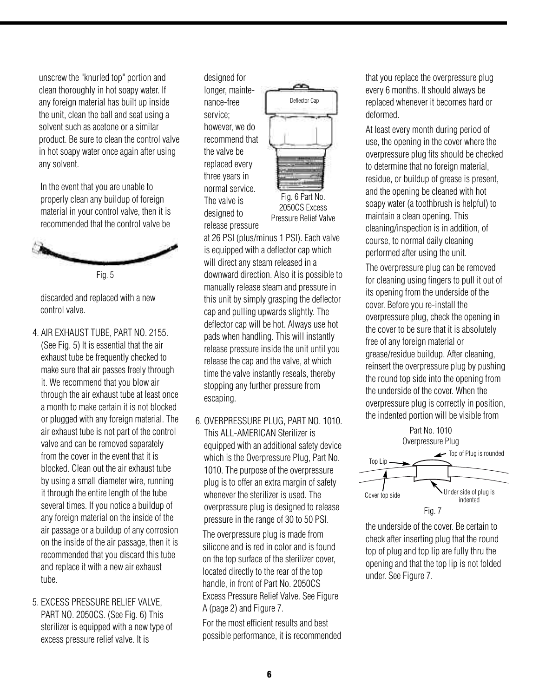unscrew the "knurled top" portion and clean thoroughly in hot soapy water. If any foreign material has built up inside the unit, clean the ball and seat using a solvent such as acetone or a similar product. Be sure to clean the control valve in hot soapy water once again after using any solvent.

In the event that you are unable to properly clean any buildup of foreign material in your control valve, then it is recommended that the control valve be



Fig. 5

discarded and replaced with a new control valve.

- 4. AIR EXHAUST TUBE, PART NO. 2155. (See Fig. 5) It is essential that the air exhaust tube be frequently checked to make sure that air passes freely through it. We recommend that you blow air through the air exhaust tube at least once a month to make certain it is not blocked or plugged with any foreign material. The air exhaust tube is not part of the control valve and can be removed separately from the cover in the event that it is blocked. Clean out the air exhaust tube by using a small diameter wire, running it through the entire length of the tube several times. If you notice a buildup of any foreign material on the inside of the air passage or a buildup of any corrosion on the inside of the air passage, then it is recommended that you discard this tube and replace it with a new air exhaust tube.
- 5. EXCESS PRESSURE RELIEF VALVE, PART NO. 2050CS. (See Fig. 6) This sterilizer is equipped with a new type of excess pressure relief valve. It is

designed for longer, maintenance-free service; however, we do recommend that the valve be replaced every three years in normal service. The valve is designed to release pressure



at 26 PSI (plus/minus 1 PSI). Each valve is equipped with a deflector cap which will direct any steam released in a downward direction. Also it is possible to manually release steam and pressure in this unit by simply grasping the deflector cap and pulling upwards slightly. The deflector cap will be hot. Always use hot pads when handling. This will instantly release pressure inside the unit until you release the cap and the valve, at which time the valve instantly reseals, thereby stopping any further pressure from escaping.

6. OVERPRESSURE PLUG, PART NO. 1010. This ALL-AMERICAN Sterilizer is equipped with an additional safety device which is the Overpressure Plug, Part No. 1010. The purpose of the overpressure plug is to offer an extra margin of safety whenever the sterilizer is used. The overpressure plug is designed to release pressure in the range of 30 to 50 PSI.

The overpressure plug is made from silicone and is red in color and is found on the top surface of the sterilizer cover, located directly to the rear of the top handle, in front of Part No. 2050CS Excess Pressure Relief Valve. See Figure A (page 2) and Figure 7.

For the most efficient results and best possible performance, it is recommended that you replace the overpressure plug every 6 months. It should always be replaced whenever it becomes hard or deformed.

At least every month during period of use, the opening in the cover where the overpressure plug fits should be checked to determine that no foreign material, residue, or buildup of grease is present, and the opening be cleaned with hot soapy water (a toothbrush is helpful) to maintain a clean opening. This cleaning/inspection is in addition, of course, to normal daily cleaning performed after using the unit.

The overpressure plug can be removed for cleaning using fingers to pull it out of its opening from the underside of the cover. Before you re-install the overpressure plug, check the opening in the cover to be sure that it is absolutely free of any foreign material or grease/residue buildup. After cleaning, reinsert the overpressure plug by pushing the round top side into the opening from the underside of the cover. When the overpressure plug is correctly in position, the indented portion will be visible from



the underside of the cover. Be certain to check after inserting plug that the round top of plug and top lip are fully thru the opening and that the top lip is not folded under. See Figure 7.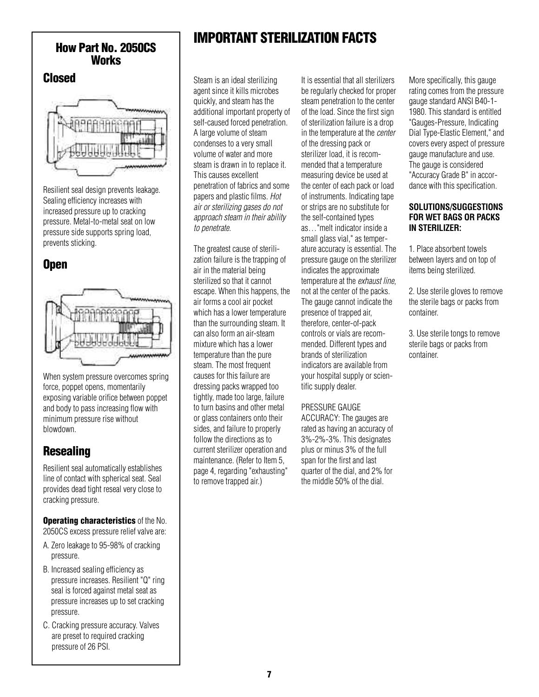# **Works**

### **Closed**



Resilient seal design prevents leakage. Sealing efficiency increases with increased pressure up to cracking pressure. Metal-to-metal seat on low pressure side supports spring load, prevents sticking.

## **Open**



When system pressure overcomes spring force, poppet opens, momentarily exposing variable orifice between poppet and body to pass increasing flow with minimum pressure rise without blowdown.

## **Resealing**

Resilient seal automatically establishes line of contact with spherical seat. Seal provides dead tight reseal very close to cracking pressure.

**Operating characteristics** of the No. 2050CS excess pressure relief valve are:

- A. Zero leakage to 95-98% of cracking pressure.
- B. Increased sealing efficiency as pressure increases. Resilient "Q" ring seal is forced against metal seat as pressure increases up to set cracking pressure.
- C. Cracking pressure accuracy. Valves are preset to required cracking pressure of 26 PSI.

# **IMPORTANT STERILIZATION FACTS How Part No. 2050CS**

Steam is an ideal sterilizing agent since it kills microbes quickly, and steam has the additional important property of self-caused forced penetration. A large volume of steam condenses to a very small volume of water and more steam is drawn in to replace it. This causes excellent penetration of fabrics and some papers and plastic films. *Hot air or sterilizing gases do not approach steam in their ability to penetrate*.

The greatest cause of sterilization failure is the trapping of air in the material being sterilized so that it cannot escape. When this happens, the air forms a cool air pocket which has a lower temperature than the surrounding steam. It can also form an air-steam mixture which has a lower temperature than the pure steam. The most frequent causes for this failure are dressing packs wrapped too tightly, made too large, failure to turn basins and other metal or glass containers onto their sides, and failure to properly follow the directions as to current sterilizer operation and maintenance. (Refer to Item 5, page 4, regarding "exhausting" to remove trapped air.)

It is essential that all sterilizers be regularly checked for proper steam penetration to the center of the load. Since the first sign of sterilization failure is a drop in the temperature at the *center* of the dressing pack or sterilizer load, it is recommended that a temperature measuring device be used at the center of each pack or load of instruments. Indicating tape or strips are no substitute for the self-contained types as…"melt indicator inside a small glass vial," as temperature accuracy is essential. The pressure gauge on the sterilizer indicates the approximate temperature at the *exhaust line*, not at the center of the packs. The gauge cannot indicate the presence of trapped air, therefore, center-of-pack controls or vials are recommended. Different types and brands of sterilization indicators are available from your hospital supply or scientific supply dealer.

### PRESSURE GAUGE

ACCURACY: The gauges are rated as having an accuracy of 3%-2%-3%. This designates plus or minus 3% of the full span for the first and last quarter of the dial, and 2% for the middle 50% of the dial.

More specifically, this gauge rating comes from the pressure gauge standard ANSI B40-1- 1980. This standard is entitled "Gauges-Pressure, Indicating Dial Type-Elastic Element," and covers every aspect of pressure gauge manufacture and use. The gauge is considered "Accuracy Grade B" in accordance with this specification.

### **SOLUTIONS/SUGGESTIONS FOR WET BAGS OR PACKS IN STERILIZER:**

1. Place absorbent towels between layers and on top of items being sterilized.

2. Use sterile gloves to remove the sterile bags or packs from container.

3. Use sterile tongs to remove sterile bags or packs from container.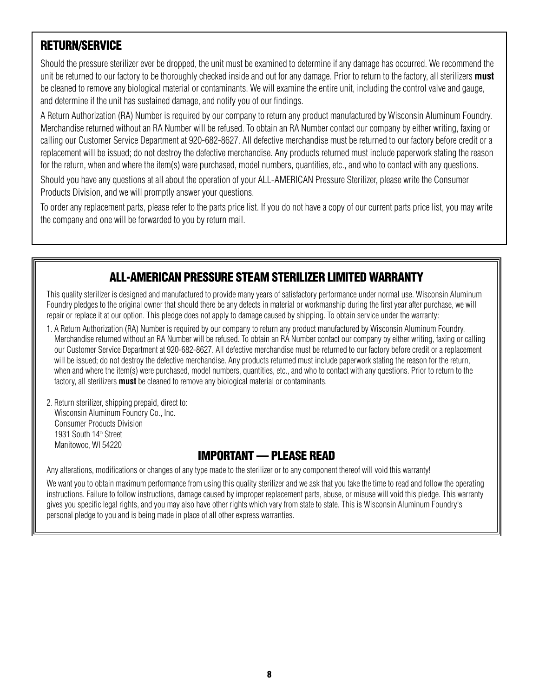## **RETURN/SERVICE**

Should the pressure sterilizer ever be dropped, the unit must be examined to determine if any damage has occurred. We recommend the unit be returned to our factory to be thoroughly checked inside and out for any damage. Prior to return to the factory, all sterilizers **must** be cleaned to remove any biological material or contaminants. We will examine the entire unit, including the control valve and gauge, and determine if the unit has sustained damage, and notify you of our findings.

A Return Authorization (RA) Number is required by our company to return any product manufactured by Wisconsin Aluminum Foundry. Merchandise returned without an RA Number will be refused. To obtain an RA Number contact our company by either writing, faxing or calling our Customer Service Department at 920-682-8627. All defective merchandise must be returned to our factory before credit or a replacement will be issued; do not destroy the defective merchandise. Any products returned must include paperwork stating the reason for the return, when and where the item(s) were purchased, model numbers, quantities, etc., and who to contact with any questions.

Should you have any questions at all about the operation of your ALL-AMERICAN Pressure Sterilizer, please write the Consumer Products Division, and we will promptly answer your questions.

To order any replacement parts, please refer to the parts price list. If you do not have a copy of our current parts price list, you may write the company and one will be forwarded to you by return mail.

## **ALL-AMERICAN PRESSURE STEAM STERILIZER LIMITED WARRANTY**

This quality sterilizer is designed and manufactured to provide many years of satisfactory performance under normal use. Wisconsin Aluminum Foundry pledges to the original owner that should there be any defects in material or workmanship during the first year after purchase, we will repair or replace it at our option. This pledge does not apply to damage caused by shipping. To obtain service under the warranty:

- 1. A Return Authorization (RA) Number is required by our company to return any product manufactured by Wisconsin Aluminum Foundry. Merchandise returned without an RA Number will be refused. To obtain an RA Number contact our company by either writing, faxing or calling our Customer Service Department at 920-682-8627. All defective merchandise must be returned to our factory before credit or a replacement will be issued; do not destroy the defective merchandise. Any products returned must include paperwork stating the reason for the return, when and where the item(s) were purchased, model numbers, quantities, etc., and who to contact with any questions. Prior to return to the factory, all sterilizers **must** be cleaned to remove any biological material or contaminants.
- 2. Return sterilizer, shipping prepaid, direct to: Wisconsin Aluminum Foundry Co., Inc. Consumer Products Division 1931 South 14th Street Manitowoc, WI 54220

## **IMPORTANT — PLEASE READ**

Any alterations, modifications or changes of any type made to the sterilizer or to any component thereof will void this warranty!

We want you to obtain maximum performance from using this quality sterilizer and we ask that you take the time to read and follow the operating instructions. Failure to follow instructions, damage caused by improper replacement parts, abuse, or misuse will void this pledge. This warranty gives you specific legal rights, and you may also have other rights which vary from state to state. This is Wisconsin Aluminum Foundry's personal pledge to you and is being made in place of all other express warranties.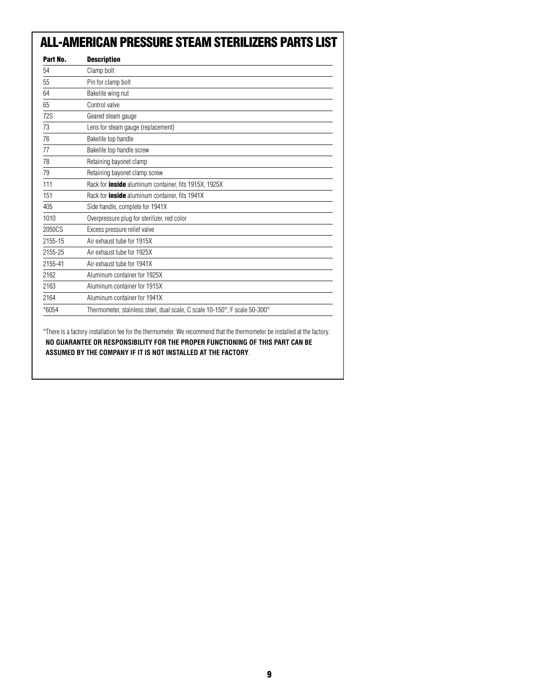## **ALL-AMERICAN PRESSURE STEAM STERILIZERS PARTS LIST**

| Part No.   | <b>Description</b>                                                         |
|------------|----------------------------------------------------------------------------|
| 54         | Clamp bolt                                                                 |
| 55         | Pin for clamp bolt                                                         |
| 64         | Bakelite wing nut                                                          |
| 65         | Control valve                                                              |
| <b>72S</b> | Geared steam gauge                                                         |
| 73         | Lens for steam gauge (replacement)                                         |
| 76         | Bakelite top handle                                                        |
| 77         | Bakelite top handle screw                                                  |
| 78         | Retaining bayonet clamp                                                    |
| 79         | Retaining bayonet clamp screw                                              |
| 111        | Rack for <b>inside</b> aluminum container, fits 1915X, 1925X               |
| 151        | Rack for <b>inside</b> aluminum container, fits 1941X                      |
| 405        | Side handle, complete for 1941X                                            |
| 1010       | Overpressure plug for sterilizer, red color                                |
| 2050CS     | Excess pressure relief valve                                               |
| 2155-15    | Air exhaust tube for 1915X                                                 |
| 2155-25    | Air exhaust tube for 1925X                                                 |
| 2155-41    | Air exhaust tube for 1941X                                                 |
| 2162       | Aluminum container for 1925X                                               |
| 2163       | Aluminum container for 1915X                                               |
| 2164       | Aluminum container for 1941X                                               |
| *6054      | Thermometer, stainless steel, dual scale, C scale 10-150°; F scale 50-300° |

\*There is a factory installation fee for the thermometer. We recommend that the thermometer be installed at the factory. **NO GUARANTEE OR RESPONSIBILITY FOR THE PROPER FUNCTIONING OF THIS PART CAN BE ASSUMED BY THE COMPANY IF IT IS NOT INSTALLED AT THE FACTORY**.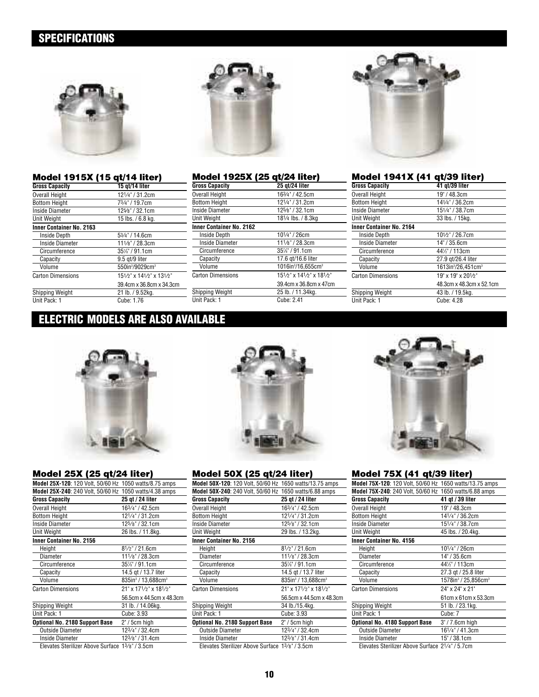## **SPECIFICATIONS**



| Model 1915X (15 qt/14 liter) |                                         |
|------------------------------|-----------------------------------------|
| <b>Gross Capacity</b>        | 15 gt/14 liter                          |
| <b>Overall Height</b>        | 121/4" / 31.2cm                         |
| <b>Bottom Height</b>         | 73/4" / 19.7cm                          |
| <b>Inside Diameter</b>       | 125/8" / 32.1cm                         |
| Unit Weight                  | 15 lbs. / 6.8 kg.                       |
| Inner Container No. 2163     |                                         |
| <b>Inside Depth</b>          | 53/4" / 14.6cm                          |
| Inside Diameter              | 111/8" / 28.3cm                         |
| Circumference                | 35%" / 91.1cm                           |
| Capacity                     | 9.5 gt/9 liter                          |
| Volume                       | 550in <sup>3</sup> /9029cm <sup>3</sup> |
| Carton Dimensions            | 151/2" x 141/2" x 131/2"                |
|                              | 39.4cm x 36.8cm x 34.3cm                |
| Shipping Weight              | 21 lb. / 9.52kg.                        |
| Unit Pack: 1                 | Cube: 1.76                              |



| Model 1925X (25 qt/24 liter)    |                                            |
|---------------------------------|--------------------------------------------|
| <b>Gross Capacity</b>           | 25 gt/24 liter                             |
| <b>Overall Height</b>           | 163/4" / 42.5cm                            |
| <b>Bottom Height</b>            | 121/4" / 31.2cm                            |
| Inside Diameter                 | 125/8" / 32.1cm                            |
| Unit Weight                     | 181⁄4 lbs. / 8.3kg                         |
| <b>Inner Container No. 2162</b> |                                            |
| <b>Inside Depth</b>             | 101/4" / 26cm                              |
| Inside Diameter                 | 111/8" / 28.3cm                            |
| Circumference                   | 35%" / 91.1cm                              |
| Capacity                        | 17.6 gt/16.6 liter                         |
| Volume                          | 1016in <sup>3</sup> /16,655cm <sup>3</sup> |
| <b>Carton Dimensions</b>        | 151/2" x 141/2" x 181/2"                   |
|                                 | 39.4cm x 36.8cm x 47cm                     |
| Shipping Weight                 | 25 lb. / 11.34kg.                          |
| Unit Pack: 1                    | Cube: 2.41                                 |



### **Model 1941X (41 qt/39 liter)**

| <b>Gross Capacity</b>    | 41 gt/39 liter                             |
|--------------------------|--------------------------------------------|
| Overall Height           | 19" / 48.3cm                               |
| <b>Bottom Height</b>     | 141/4" / 36.2cm                            |
| Inside Diameter          | 151/4" / 38.7cm                            |
| Unit Weight              | 33 lbs. / 15kg.                            |
| Inner Container No. 2164 |                                            |
| Inside Depth             | 101/2" / 26.7cm                            |
| Inside Diameter          | 14" / 35.6cm                               |
| Circumference            | 441/2" / 113cm                             |
| Capacity                 | 27.9 gt/26.4 liter                         |
| Volume                   | 1613in <sup>3</sup> /26.451cm <sup>3</sup> |
| Carton Dimensions        | 19" x 19" x 201/2"                         |
|                          | 48.3cm x 48.3cm x 52.1cm                   |
| Shipping Weight          | 43 lb. / 19.5kg.                           |
| Unit Pack: 1             | Cube: 4.28                                 |
|                          |                                            |

### **ELECTRIC MODELS ARE ALSO AVAILABLE**



### **Model 25X (25 qt/24 liter)**

| Model 25X-120: 120 Volt, 50/60 Hz 1050 watts/8.75 amps |                                            |
|--------------------------------------------------------|--------------------------------------------|
| Model 25X-240: 240 Volt, 50/60 Hz 1050 watts/4.38 amps |                                            |
| <b>Gross Capacity</b>                                  | 25 qt / 24 liter                           |
| <b>Overall Height</b>                                  | 163/4" / 42.5cm                            |
| <b>Bottom Height</b>                                   | 121/4" / 31.2cm                            |
| Inside Diameter                                        | 125/8" / 32.1cm                            |
| Unit Weight                                            | 26 lbs. / 11.8kg.                          |
| <b>Inner Container No. 2156</b>                        |                                            |
| Height                                                 | $8^{1/2}$ " / 21.6cm                       |
| Diameter                                               | 111/8" / 28.3cm                            |
| Circumference                                          | 35%" / 91.1cm                              |
| Capacity                                               | 14.5 gt / 13.7 liter                       |
| Volume                                                 | 835in <sup>3</sup> / 13,688cm <sup>3</sup> |
| <b>Carton Dimensions</b>                               | 21" x 171/2" x 181/2"                      |
|                                                        | 56.5cm x 44.5cm x 48.3cm                   |
| Shipping Weight                                        | 31 lb. / 14.06kg.                          |
| Unit Pack: 1                                           | Cube: 3.93                                 |
| Optional No. 2180 Support Base                         | 2" / 5cm high                              |
| <b>Outside Diameter</b>                                | 123/4" / 32.4cm                            |
| Inside Diameter                                        | 123/8" / 31.4cm                            |
| $\sim$<br>.                                            | $\cdots$                                   |

Elevates Sterilizer Above Surface 13/8" / 3.5cm



### **Model 50X (25 qt/24 liter)**

| Model 50X-120: 120 Volt, 50/60 Hz 1650 watts/13.75 amps |                                               |
|---------------------------------------------------------|-----------------------------------------------|
| Model 50X-240: 240 Volt, 50/60 Hz 1650 watts/6.88 amps  |                                               |
| <b>Gross Capacity</b>                                   | 25 gt / 24 liter                              |
| Overall Height                                          | 163/4" / 42.5cm                               |
| <b>Bottom Height</b>                                    | 121/4" / 31.2cm                               |
| Inside Diameter                                         | 125/8" / 32.1cm                               |
| Unit Weight                                             | 29 lbs. / 13.2kg.                             |
| <b>Inner Container No. 2156</b>                         |                                               |
| Height                                                  | $8^{1/2}$ " / 21.6cm                          |
| Diameter                                                | 111/8" / 28.3cm                               |
| Circumference                                           | 35%" / 91.1cm                                 |
| Capacity                                                | 14.5 gt / 13.7 liter                          |
| Volume                                                  | $835$ in <sup>3</sup> / 13,688cm <sup>3</sup> |
| <b>Carton Dimensions</b>                                | 21" x 171/2" x 181/2"                         |
|                                                         | 56.5cm x 44.5cm x 48.3cm                      |
| Shipping Weight                                         | 34 lb./15.4kg.                                |
| Unit Pack: 1                                            | Cube: 3.93                                    |
| Optional No. 2180 Support Base                          | $2" / 5$ cm high                              |
| <b>Outside Diameter</b>                                 | 123/4" / 32.4cm                               |
| Inside Diameter                                         | 123/8" / 31.4cm                               |
| Elevates Sterilizer Above Surface 13/8" / 3.5cm         |                                               |



### **Model 75X (41 qt/39 liter)**

| Model 75X-120: 120 Volt, 50/60 Hz 1650 watts/13.75 amps |                                             |
|---------------------------------------------------------|---------------------------------------------|
| Model 75X-240: 240 Volt, 50/60 Hz 1650 watts/6.88 amps  |                                             |
| <b>Gross Capacity</b>                                   | 41 gt / 39 liter                            |
| <b>Overall Height</b>                                   | 19" / 48.3cm                                |
| <b>Bottom Height</b>                                    | 141/4" / 36.2cm                             |
| Inside Diameter                                         | 151/4" / 38.7cm                             |
| Unit Weight                                             | 45 lbs. / 20.4kg.                           |
| <b>Inner Container No. 4156</b>                         |                                             |
| Height                                                  | 101/4" / 26cm                               |
| Diameter                                                | 14" / 35.6cm                                |
| Circumference                                           | 441/2" / 113cm                              |
| Capacity                                                | 27.3 gt / 25.8 liter                        |
| Volume                                                  | 1578in <sup>3</sup> / 25,856cm <sup>3</sup> |
| <b>Carton Dimensions</b>                                | 24" x 24" x 21"                             |
|                                                         | 61cm x 61cm x 53.3cm                        |
| Shipping Weight                                         | 51 lb. / 23.1kg.                            |
| Unit Pack: 1                                            | Cube: 7                                     |
| <b>Optional No. 4180 Support Base</b>                   | $3''/7.6cm$ high                            |
| <b>Outside Diameter</b>                                 | 161/4" / 41.3cm                             |
| Inside Diameter                                         | 15" / 38.1cm                                |
| Elevates Sterilizer Ahove Surface 21/4" / 5 7cm         |                                             |

Elevates Sterilizer Above Surface 21⁄ 4" / 5.7cm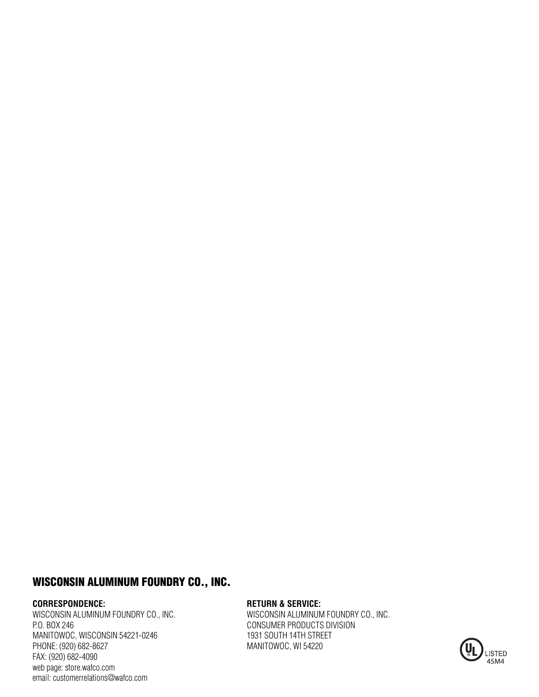### **WISCONSIN ALUMINUM FOUNDRY CO., INC.**

#### **CORRESPONDENCE:**

WISCONSIN ALUMINUM FOUNDRY CO., INC. P.O. BOX 246 MANITOWOC, WISCONSIN 54221-0246 PHONE: (920) 682-8627 FAX: (920) 682-4090 web page: store.wafco.com email: customerrelations@wafco.com

### **RETURN & SERVICE:**

WISCONSIN ALUMINUM FOUNDRY CO., INC. CONSUMER PRODUCTS DIVISION 1931 SOUTH 14TH STREET MANITOWOC, WI 54220

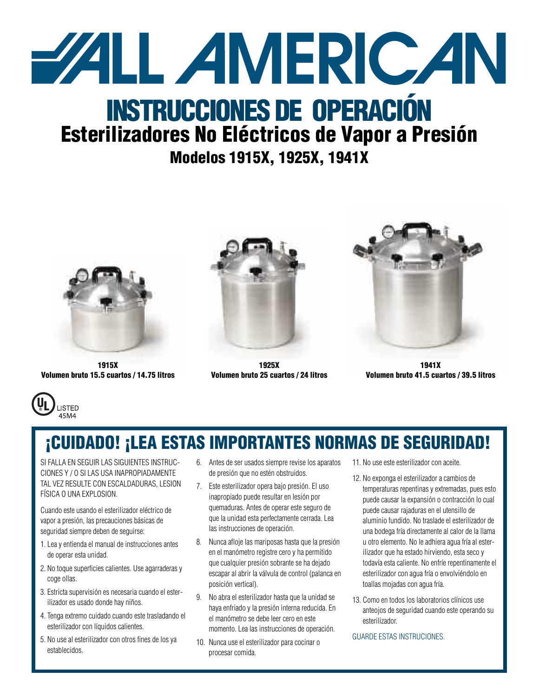

# **Esterilizadores No Eléctricos de Vapor a Presión**

## **Modelos 1915X, 1925X, 1941X**



**1915X Volumen bruto 15.5 cuartos / 14.75 litros**



**1925X Volumen bruto 25 cuartos / 24 litros**



**1941X Volumen bruto 41.5 cuartos / 39.5 litros**



## **¡CUIDADO! ¡LEA ESTAS IMPORTANTES NORMAS DE SEGURIDAD!**

SI FALLA EN SEGUIR LAS SIGUIENTES INSTRUC-CIONES Y / O SI LAS USA INAPROPIADAMENTE TAL VEZ RESULTE CON ESCALDADURAS, LESION FÍSICA O UNA EXPLOSION.

Cuando este usando el esterilizador eléctrico de vapor a presión, las precauciones básicas de seguridad siempre deben de seguirse:

- 1. Lea y entienda el manual de instrucciones antes de operar esta unidad.
- 2. No toque superficies calientes. Use agarraderas y coge ollas.
- 3. Estricta supervisión es necesaria cuando el esterilizador es usado donde hay niños.
- 4. Tenga extremo cuidado cuando este trasladando el esterilizador con líquidos calientes.
- 5. No use al esterilizador con otros fines de los ya establecidos.
- 6. Antes de ser usados siempre revise los aparatos de presión que no estén obstruidos.
- 7. Este esterilizador opera bajo presión. El uso inapropiado puede resultar en lesión por quemaduras. Antes de operar este seguro de que la unidad esta perfectamente cerrada. Lea las instrucciones de operación.
- 8. Nunca afloje las mariposas hasta que la presión en el manómetro registre cero y ha permitido que cualquier presión sobrante se ha dejado escapar al abrir la válvula de control (palanca en posición vertical).
- 9. No abra el esterilizador hasta que la unidad se haya enfriado y la presión interna reducida. En el manómetro se debe leer cero en este momento. Lea las instrucciones de operación.
- 10. Nunca use el esterilizador para cocinar o procesar comida.
- 11. No use este esterilizador con aceite.
- 12. No exponga el esterilizador a cambios de temperaturas repentinas y extremadas, pues esto puede causar la expansión o contracción lo cual puede causar rajaduras en el utensillo de aluminio fundido. No traslade el esterilizador de una bodega fría directamente al calor de la llama u otro elemento. No le adhiera agua fría al esterilizador que ha estado hirviendo, esta seco y todavía esta caliente. No enfríe repentinamente el esterilizador con agua fría o envolviéndolo en toallas mojadas con agua fría.
- 13. Como en todos los laboratorios clínicos use anteojos de seguridad cuando este operando su esterilizador.

#### GUARDE ESTAS INSTRUCIONES.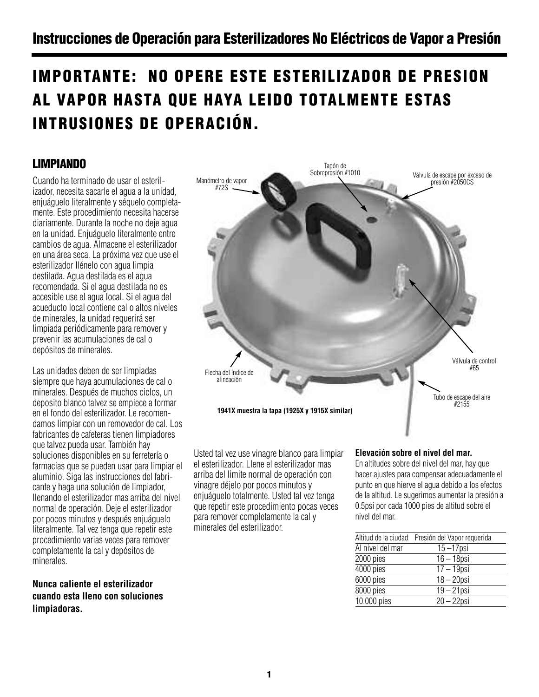## **IMPORTANTE: NO OPERE ESTE ESTERILIZADOR DE PRESION AL VAPOR HASTA QUE HAYA LEIDO TOTALMENTE ESTAS INTRUSIONES DE OPERACIÓN.**

## **LIMPIANDO**

Cuando ha terminado de usar el esterilizador, necesita sacarle el agua a la unidad, enjuáguelo literalmente y séquelo completamente. Este procedimiento necesita hacerse diariamente. Durante la noche no deje agua en la unidad. Enjuáguelo literalmente entre cambios de agua. Almacene el esterilizador en una área seca. La próxima vez que use el esterilizador llénelo con agua limpia destilada. Agua destilada es el agua recomendada. Si el agua destilada no es accesible use el agua local. Si el agua del acueducto local contiene cal o altos niveles de minerales, la unidad requerirá ser limpiada periódicamente para remover y prevenir las acumulaciones de cal o depósitos de minerales.

Las unidades deben de ser limpiadas siempre que haya acumulaciones de cal o minerales. Después de muchos ciclos, un deposito blanco talvez se empiece a formar en el fondo del esterilizador. Le recomendamos limpiar con un removedor de cal. Los fabricantes de cafeteras tienen limpiadores que talvez pueda usar. También hay soluciones disponibles en su ferretería o farmacias que se pueden usar para limpiar el aluminio. Siga las instrucciones del fabricante y haga una solución de limpiador, llenando el esterilizador mas arriba del nivel normal de operación. Deje el esterilizador por pocos minutos y después enjuáguelo literalmente. Tal vez tenga que repetir este procedimiento varias veces para remover completamente la cal y depósitos de minerales.

**Nunca caliente el esterilizador cuando esta lleno con soluciones limpiadoras.**



Usted tal vez use vinagre blanco para limpiar el esterilizador. Llene el esterilizador mas arriba del limite normal de operación con vinagre déjelo por pocos minutos y enjuáguelo totalmente. Usted tal vez tenga que repetir este procedimiento pocas veces para remover completamente la cal y minerales del esterilizador.

### **Elevación sobre el nivel del mar.**

En altitudes sobre del nivel del mar, hay que hacer ajustes para compensar adecuadamente el punto en que hierve el agua debido a los efectos de la altitud. Le sugerimos aumentar la presión a 0.5psi por cada 1000 pies de altitud sobre el nivel del mar.

|                  | Altitud de la ciudad Presión del Vapor requerida |
|------------------|--------------------------------------------------|
| Al nivel del mar | $15 - 17$ psi                                    |
| 2000 pies        | $16 - 18$ psi                                    |
| 4000 pies        | $17 - 19$ psi                                    |
| 6000 pies        | $18 - 20$ psi                                    |
| 8000 pies        | $19 - 21$ psi                                    |
| 10.000 pies      | $20 - 22$ psi                                    |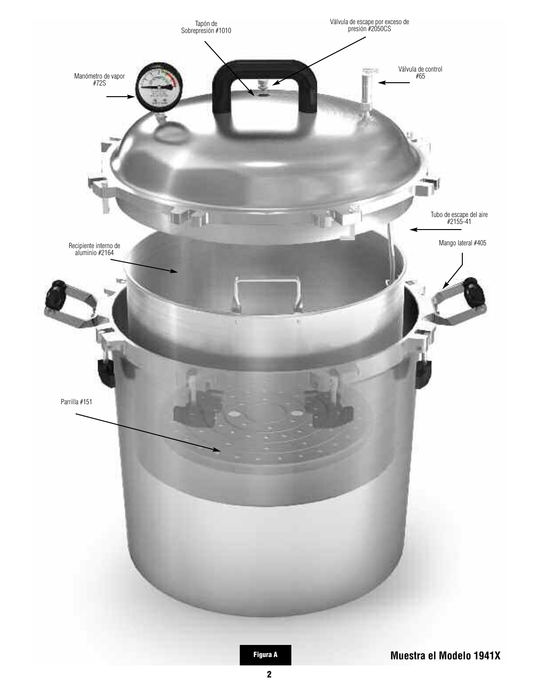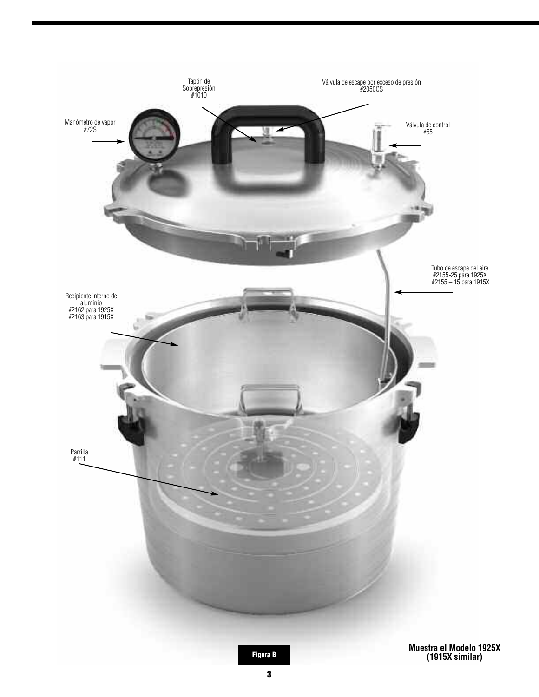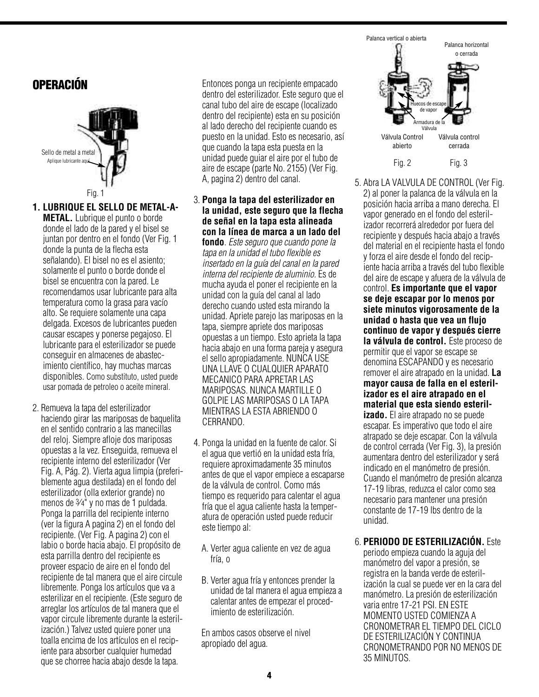## **OPERACIÓN**



**1. LUBRIQUE EL SELLO DE METAL-A-METAL.** Lubrique el punto o borde donde el lado de la pared y el bisel se juntan por dentro en el fondo (Ver Fig. 1 donde la punta de la flecha esta señalando). El bisel no es el asiento; solamente el punto o borde donde el bisel se encuentra con la pared. Le recomendamos usar lubricante para alta temperatura como la grasa para vacío alto. Se requiere solamente una capa delgada. Excesos de lubricantes pueden causar escapes y ponerse pegajoso. El lubricante para el esterilizador se puede conseguir en almacenes de abastecimiento científico, hay muchas marcas disponibles. Como substituto, usted puede usar pomada de petroleo o aceite mineral.

2. Remueva la tapa del esterilizador haciendo girar las mariposas de baquelita en el sentido contrario a las manecillas del reloj. Siempre afloje dos mariposas opuestas a la vez. Enseguida, remueva el recipiente interno del esterilizador (Ver Fig. A, Pág. 2). Vierta agua limpia (preferiblemente agua destilada) en el fondo del esterilizador (olla exterior grande) no menos de 3⁄4" y no mas de 1 puldada. Ponga la parrilla del recipiente interno (ver la figura A pagina 2) en el fondo del recipiente. (Ver Fig. A pagina 2) con el labio o borde hacia abajo. El propósito de esta parrilla dentro del recipiente es proveer espacio de aire en el fondo del recipiente de tal manera que el aire circule libremente. Ponga los artículos que va a esterilizar en el recipiente. (Este seguro de arreglar los artículos de tal manera que el vapor circule libremente durante la esterilización.) Talvez usted quiere poner una toalla encima de los artículos en el recipiente para absorber cualquier humedad que se chorree hacia abajo desde la tapa.

Entonces ponga un recipiente empacado dentro del esterilizador. Este seguro que el canal tubo del aire de escape (localizado dentro del recipiente) esta en su posición al lado derecho del recipiente cuando es puesto en la unidad. Esto es necesario, así que cuando la tapa esta puesta en la unidad puede guiar el aire por el tubo de aire de escape (parte No. 2155) (Ver Fig. A, pagina 2) dentro del canal.

3. **Ponga la tapa del esterilizador en la unidad, este seguro que la flecha de señal en la tapa esta alineada con la línea de marca a un lado del fondo**. *Este seguro que cuando pone la tapa en la unidad el tubo flexible es insertado en la guía del canal en la pared interna del recipiente de aluminio.* Es de mucha ayuda el poner el recipiente en la unidad con la guía del canal al lado

derecho cuando usted esta mirando la unidad. Apriete parejo las mariposas en la tapa, siempre apriete dos mariposas opuestas a un tiempo. Esto aprieta la tapa hacia abajo en una forma pareja y asegura el sello apropiadamente. NUNCA USE UNA LLAVE O CUALQUIER APARATO MECANICO PARA APRETAR LAS MARIPOSAS. NUNCA MARTILLE O GOLPIE LAS MARIPOSAS O LA TAPA MIENTRAS LA ESTA ABRIENDO O CERRANDO.

- 4. Ponga la unidad en la fuente de calor. Si el agua que vertió en la unidad esta fría, requiere aproximadamente 35 minutos antes de que el vapor empiece a escaparse de la válvula de control. Como más tiempo es requerido para calentar el agua fría que el agua caliente hasta la temperatura de operación usted puede reducir este tiempo al:
	- A. Verter agua caliente en vez de agua fría, o
	- B. Verter agua fría y entonces prender la unidad de tal manera el agua empieza a calentar antes de empezar el procedimiento de esterilización.

En ambos casos observe el nivel apropiado del agua.



- 5. Abra LA VÁLVULA DE CONTROL (Ver Fig. 2) al poner la palanca de la válvula en la posición hacia arriba a mano derecha. El vapor generado en el fondo del esterilizador recorrerá alrededor por fuera del recipiente y después hacia abajo a través del material en el recipiente hasta el fondo y forza el aire desde el fondo del recipiente hacia arriba a través del tubo flexible del aire de escape y afuera de la válvula de control. **Es importante que el vapor se deje escapar por lo menos por siete minutos vigorosamente de la unidad o hasta que vea un flujo continuo de vapor y después cierre la válvula de control.** Este proceso de permitir que el vapor se escape se denomina ESCAPANDO y es necesario remover el aire atrapado en la unidad. **La mayor causa de falla en el esterilizador es el aire atrapado en el material que esta siendo esterilizado.** El aire atrapado no se puede escapar. Es imperativo que todo el aire atrapado se deje escapar. Con la válvula de control cerrada (Ver Fig. 3), la presión aumentara dentro del esterilizador y será indicado en el manómetro de presión. Cuando el manómetro de presión alcanza 17-19 libras, reduzca el calor como sea necesario para mantener una presión constante de 17-19 lbs dentro de la unidad.
- 6. **PERIODO DE ESTERILIZACIÓN.** Este

periodo empieza cuando la aguja del manómetro del vapor a presión, se registra en la banda verde de esterilización la cual se puede ver en la cara del manómetro. La presión de esterilización varia entre 17-21 PSI. EN ESTE MOMENTO USTED COMIENZA A CRONOMETRAR EL TIEMPO DEL CICLO DE ESTERILIZACIÓN Y CONTINUA CRONOMETRANDO POR NO MENOS DE 35 MINUTOS.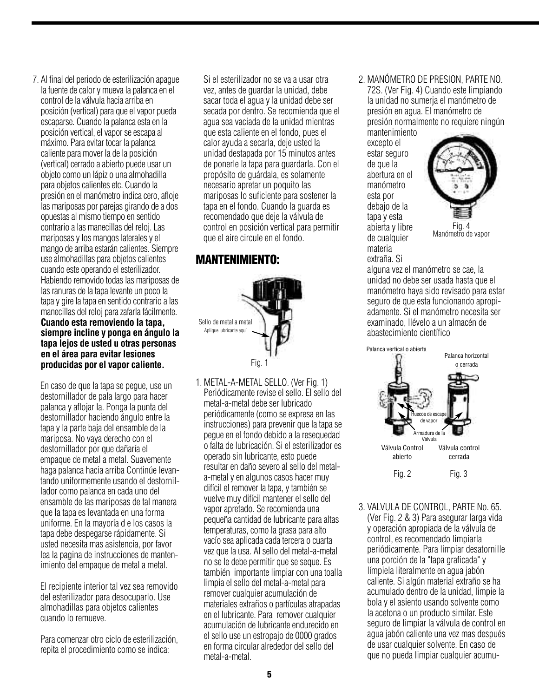7. Al final del periodo de esterilización apague la fuente de calor y mueva la palanca en el control de la válvula hacia arriba en posición (vertical) para que el vapor pueda escaparse. Cuando la palanca esta en la posición vertical, el vapor se escapa al máximo. Para evitar tocar la palanca caliente para mover la de la posición (vertical) cerrado a abierto puede usar un objeto como un lápiz o unaalmohadilla para objetos calientes etc. Cuando la presión en el manómetro indica cero, afloje las mariposas por parejas girando de a dos opuestasal mismo tiempo en sentido contrario alas manecillas del reloj. Las mariposas y los mangos laterales y el mango de arriba estarán calientes. Siempre use almohadillas para objetos calientes cuando este operando el esterilizador. Habiendo removido todas las mariposas de las ranuras de la tapa levante un poco la tapa y gire la tapa en sentido contrario a las manecillas del reloj para zafarla fácilmente. **Cuando esta removiendo la tapa, siempre incline y ponga en ángulo la tapa lejos de usted u otras personas en el área para evitar lesiones producidas por el vapor caliente.**

En caso de que la tapa se pegue, use un destornillador de pala largo para hacer palanca y aflojar la. Ponga la punta del destornillador haciendo ángulo entre la tapa y la parte baja del ensamble de la mariposa. No vaya derecho con el destornillador por que dañaría el empaque de metal a metal. Suavemente haga palanca hacia arriba Continúe levantando uniformemente usando el destornillador como palanca en cada uno del ensamble de las mariposas de tal manera que la tapa es levantada en una forma uniforme. En la mayoría d e los casos la tapa debe despegarse rápidamente. Si usted necesita mas asistencia, por favor lea la pagina de instrucciones de mantenimiento del empaque de metal a metal.

El recipiente interior tal vez sea removido del esterilizador para desocuparlo. Use almohadillas para objetos calientes cuando lo remueve.

Para comenzar otro ciclo de esterilización, repita el procedimiento como se indica:

Si el esterilizador no se va a usar otra vez, antes de guardar la unidad, debe sacar toda el agua y la unidad debe ser secada por dentro. Se recomienda que el agua sea vaciada de la unidad mientras que esta caliente en el fondo, pues el calor ayuda a secarla, deje usted la unidad destapada por 15 minutos antes de ponerle la tapa para guardarla. Con el propósito de guárdala, es solamente necesario apretar un poquito las mariposas lo suficiente para sostener la tapa en el fondo. Cuando la guarda es recomendado que deje la válvula de control en posición vertical para permitir que el aire circule en el fondo.

## **MANTENIMIENTO:**



1. METAL-A-METAL SELLO. (Ver Fig. 1) Periódicamente revise el sello. El sello del metal-a-metal debeser lubricado periódicamente (como se expresa en las instrucciones) para prevenir que la tapa se peque en el fondo debido a la resequedad o falta de lubricación. Si el esterilizador es operado sin lubricante,esto puede resultar en daño severo al sello del metala-metal y en algunos casos hacer muy difícil el remover la tapa, y también se vuelve muy difícil mantener el sello del vapor apretado. Se recomienda una pequeña cantidad de lubricante para altas temperaturas, como la grasa para alto vacío sea aplicada cada tercera o cuarta vez que la usa. Al sello del metal-a-metal no se le debe permitir que se seque. Es también importante limpiar con una toalla limpiaelsello del metal-a-metal para remover cualquier acumulación de materiales extraños o partículas atrapadas en el lubricante. Para removercualquier acumulación de lubricante endurecido en el sello use un estropajo de 0000 grados en formacircularalrededor delsello del metal-a-metal.

2. MANÓMETRO DE PRESION, PARTE NO. 72S. (Ver Fig. 4) Cuando este limpiando la unidad no sumerja el manómetro de presión en agua. El manómetro de presión normalmente no requiere ningún

mantenimiento excepto el estar seguro de que la abertura en el manómetro esta por debajo de la tapa y esta abierta y libre de cualquier materia extraña. Si



Fig. 4 Manómetro de vapor

alguna vez el manómetro se cae, la unidad no debe ser usada hasta que el manómetro haya sido revisado para estar seguro de que esta funcionando apropiadamente. Si el manómetro necesita ser examinado, llévelo a un almacén de abastecimiento científico



3. VALVULA DE CONTROL, PARTE No. 65. (Ver Fig. 2 & 3) Para asegurar larga vida y operación apropiada de la válvula de control, es recomendado limpiarla periódicamente. Para limpiar desatornille una porción de la "tapa graficada" y límpiela literalmente en agua jabón caliente. Si algún material extraño se ha acumulado dentro de la unidad, limpie la bola y el asiento usando solvente como la acetona o un producto similar. Este seguro de limpiar la válvula de control en agua jabón caliente una vez mas después de usar cualquier solvente. En caso de que no pueda limpiar cualquier acumu-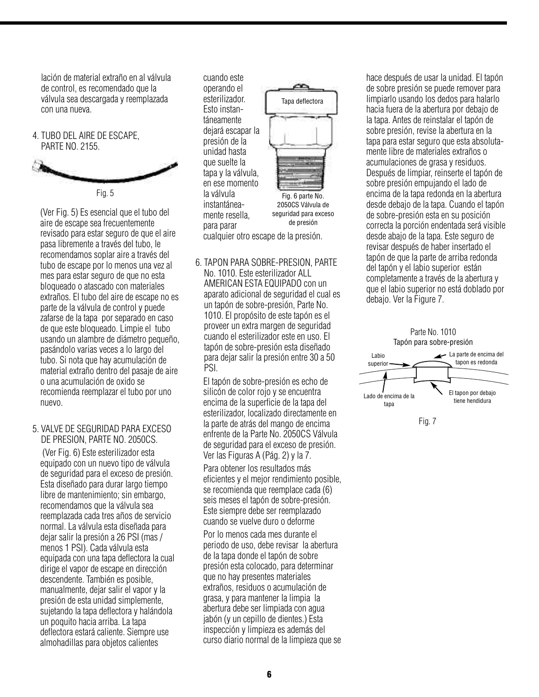lación de material extraño en al válvula de control, es recomendado que la válvula sea descargada y reemplazada con una nueva.

4. TUBO DEL AIRE DE ESCAPE, PARTE NO. 2155.



Fig. 5

(Ver Fig. 5) Es esencial que el tubo del aire de escape sea frecuentemente revisado para estar seguro de que el aire pasa libremente a través del tubo, le recomendamos soplar aire a través del tubo de escape por lo menos una vez al mes para estar seguro de que no esta bloqueado o atascado con materiales extraños. El tubo del aire de escape no es parte de la válvula de control y puede zafarse de la tapa por separado en caso de que este bloqueado. Limpie el tubo usando un alambre de diámetro pequeño, pasándolo varias veces a lo largo del tubo. Si nota que hay acumulación de material extraño dentro del pasaje de aire o una acumulación de oxido se recomienda reemplazar el tubo por uno nuevo.

### 5. VALVE DE SEGURIDAD PARA EXCESO DE PRESION, PARTE NO. 2050CS.

(Ver Fig. 6) Este esterilizador esta equipado con un nuevo tipo de válvula de seguridad para el exceso de presión. Esta diseñado para durar largo tiempo libre de mantenimiento; sin embargo, recomendamos que la válvula sea reemplazada cada tres años de servicio normal. La válvula esta diseñada para dejar salir la presión a 26 PSI (mas / menos 1 PSI). Cada válvula esta equipada con una tapa deflectora la cual dirige el vapor de escape en dirección descendente. También es posible, manualmente, dejar salir el vapor y la presión de esta unidad simplemente, sujetando la tapa deflectora y halándola un poquito hacia arriba. La tapa deflectora estará caliente. Siempre use almohadillas para objetos calientes

cuando este operando el esterilizador. Esto instantáneamente dejará escapar la presión de la unidad hasta que suelte la tapa y la válvula, en ese momento la válvula instantáneamente resella, para parar cualquier otro escape de la presión. Fig. 6 parte No. 2050CS Válvula de seguridad para exceso de presión Tapa deflectora



El tapón de sobre-presión es echo de silicón de color rojo y se encuentra encima de la superficie de la tapa del esterilizador, localizado directamente en la parte de atrás del mango de encima enfrente de la Parte No. 2050CS Válvula de seguridad para el exceso de presión. Ver las Figuras A (Pág. 2) y la 7.

Para obtener los resultados más eficientes y el mejor rendimiento posible, se recomienda que reemplace cada (6) seis meses el tapón de sobre-presión. Este siempre debe ser reemplazado cuando se vuelve duro o deforme

Por lo menos cada mes durante el periodo de uso, debe revisar la abertura de la tapa donde el tapón de sobre presión esta colocado, para determinar que no hay presentes materiales extraños, residuos o acumulación de grasa, y para mantener la limpia la abertura debe ser limpiada con agua jabón (y un cepillo de dientes.) Esta inspección y limpieza es además del curso diario normal de la limpieza que se hace después de usar la unidad. El tapón de sobre presión se puede remover para limpiarlo usando los dedos para halarlo hacia fuera de la abertura por debajo de la tapa. Antes de reinstalar el tapón de sobre presión, revise la abertura en la tapa para estar seguro que esta absolutamente libre de materiales extraños o acumulaciones de grasa y residuos. Después de limpiar, reinserte el tapón de sobre presión empujando el lado de encima de la tapa redonda en la abertura desde debajo de la tapa. Cuando el tapón de sobre-presión esta en su posición correcta la porción endentada será visible desde abajo de la tapa. Este seguro de revisar después de haber insertado el tapón de que la parte de arriba redonda del tapón y el labio superior están completamente a través de la abertura y que el labio superior no está doblado por debajo. Ver la Figure 7.



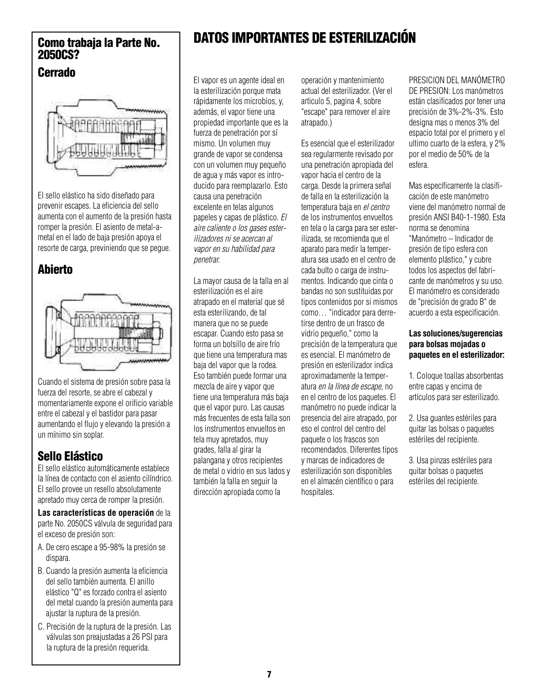### **Cerrado**



El sello elástico ha sido diseñado para prevenir escapes. La eficiencia del sello aumenta con el aumento de la presión hasta romper la presión. El asiento de metal-ametal en el lado de baja presión apoya el resorte de carga, previniendo que se pegue.

## **Abierto**



Cuando el sistema de presión sobre pasa la fuerza del resorte, se abre el cabezal y momentariamente expone el orificio variable entre el cabezal y el bastidor para pasar aumentando el flujo y elevando la presión a un mínimo sin soplar.

## **Sello Elástico**

El sello elástico automáticamente establece la línea de contacto con el asiento cilíndrico. El sello provee un resello absolutamente apretado muy cerca de romper la presión.

**Las características de operación** de la parte No. 2050CS válvula de seguridad para el exceso de presión son:

- A. De cero escape a 95-98% la presión se dispara.
- B. Cuando la presión aumenta la eficiencia del sello también aumenta. El anillo elástico "Q" es forzado contra el asiento del metal cuando la presión aumenta para ajustar la ruptura de la presión.
- C. Precisión de la ruptura de la presión. Las válvulas son preajustadas a 26 PSI para la ruptura de la presión requerida.

# **DATOS IMPORTANTES DE ESTERILIZACIÓN Como trabaja la Parte No. 2050CS?**

El vapor es un agente ideal en la esterilización porque mata rápidamente los microbios, y, además, el vapor tiene una propiedad importante que es la fuerza de penetración por sí mismo. Un volumen muy grande de vapor se condensa con un volumen muy pequeño de agua y más vapor es introducido para reemplazarlo. Esto causa una penetración excelente en telas algunos papeles y capas de plástico. *El aire caliente o los gases esterilizadores ni se acercan al vapor en su habilidad para penetrar.*

La mayor causa de la falla en al esterilización es el aire atrapado en el material que sé esta esterilizando, de tal manera que no se puede escapar. Cuando esto pasa se forma un bolsillo de aire frío que tiene una temperatura mas baja del vapor que la rodea. Eso también puede formar una mezcla de aire y vapor que tiene una temperatura más baja que el vapor puro. Las causas más frecuentes de esta falla son los instrumentos envueltos en tela muy apretados, muy grades, falla al girar la palangana y otros recipientes de metal o vidrio en sus lados y también la falla en seguir la dirección apropiada como la

operación y mantenimiento actual del esterilizador. (Ver el articulo 5, pagina 4, sobre "escape" para remover el aire atrapado.)

Es esencial que el esterilizador sea regularmente revisado por una penetración apropiada del vapor hacia el centro de la carga. Desde la primera señal de falla en la esterilización la temperatura baja en *el centro* de los instrumentos envueltos en tela o la carga para ser esterilizada, se recomienda que el aparato para medir la temperatura sea usado en el centro de cada bulto o carga de instrumentos. Indicando que cinta o bandas no son sustituidas por tipos contenidos por si mismos como… "indicador para derretirse dentro de un frasco de vidrio pequeño," como la precisión de la temperatura que es esencial. El manómetro de presión en esterilizador indica aproximadamente la temperatura *en la línea de escape*, no en el centro de los paquetes. El manómetro no puede indicar la presencia del aire atrapado, por eso el control del centro del paquete o los frascos son recomendados. Diferentes tipos y marcas de indicadores de esterilización son disponibles en el almacén científico o para hospitales.

PRESICION DEL MANÓMETRO

DE PRESION: Los manómetros están clasificados por tener una precisión de 3%-2%-3%. Esto designa mas o menos 3% del espacio total por el primero y el ultimo cuarto de la esfera, y 2% por el medio de 50% de la esfera.

Mas específicamente la clasificación de este manómetro viene del manómetro normal de presión ANSI B40-1-1980. Esta norma se denomina "Manómetro – Indicador de presión de tipo esfera con elemento plástico," y cubre todos los aspectos del fabricante de manómetros y su uso. El manómetro es considerado de "precisión de grado B" de acuerdo a esta especificación.

### **Las soluciones/sugerencias para bolsas mojadas o paquetes en el esterilizador:**

1. Coloque toallas absorbentas entre capas y encima de artículos para ser esterilizado.

2. Usa guantes estériles para quitar las bolsas o paquetes estériles del recipiente.

3. Usa pinzas estériles para quitar bolsas o paquetes estériles del recipiente.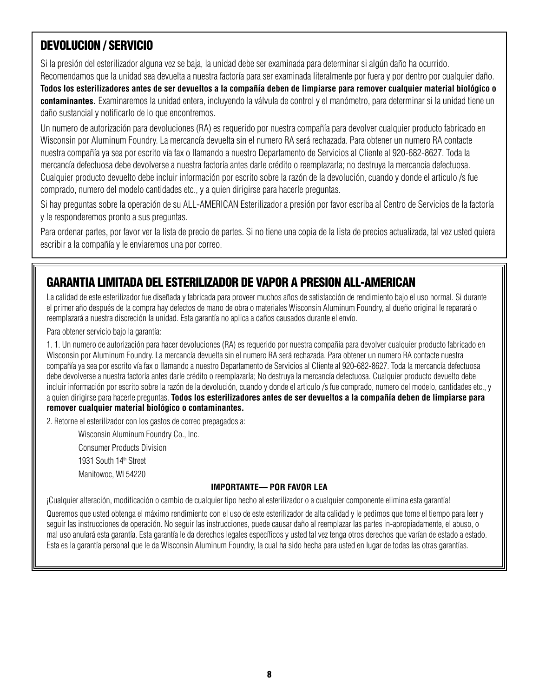## **DEVOLUCION / SERVICIO**

Si la presión del esterilizador alguna vez se baja, la unidad debe ser examinada para determinar si algún daño ha ocurrido. Recomendamos que la unidad sea devuelta a nuestra factoría para ser examinada literalmente por fuera y por dentro por cualquier daño. Todos los esterilizadores antes de ser devueltos a la compañía deben de limpiarse para remover cualquier material biológico o **contaminantes.** Examinaremos la unidad entera, incluyendo la válvula de control y el manómetro, para determinar si la unidad tiene un daño sustancial y notificarlo de lo que encontremos.

Un numero de autorización para devoluciones (RA) es requerido por nuestra compañía para devolver cualquier producto fabricado en Wisconsin por Aluminum Foundry. La mercancía devuelta sin el numero RA será rechazada. Para obtener un numero RA contacte nuestra compañía ya sea por escrito vía fax o llamando a nuestro Departamento de Servicios al Cliente al 920-682-8627. Toda la mercancía defectuosa debe devolverse a nuestra factoría antes darle crédito o reemplazarla; no destruya la mercancía defectuosa. Cualquier producto devuelto debe incluir información por escrito sobre la razón de la devolución, cuando y donde el articulo /s fue comprado, numero del modelo cantidades etc., y a quien dirigirse para hacerle preguntas.

Si hay preguntas sobre la operación de su ALL-AMERICAN Esterilizador a presión por favor escriba al Centro de Servicios de la factoría y le responderemos pronto a sus preguntas.

Para ordenar partes, por favor ver la lista de precio de partes. Si no tiene una copia de la lista de precios actualizada, tal vez usted quiera escribir a la compañía y le enviaremos una por correo.

## **GARANTIA LIMITADA DEL ESTERILIZADOR DE VAPOR A PRESION ALL-AMERICAN**

La calidad de este esterilizador fue diseñada y fabricada para proveer muchos años de satisfacción de rendimiento bajo el uso normal. Si durante el primer año después de la compra hay defectos de mano de obra o materiales Wisconsin Aluminum Foundry, al dueño original le reparará o reemplazará a nuestra discreción la unidad. Esta garantía no aplica a daños causados durante el envío.

Para obtener servicio bajo la garantía:

1. 1. Un numero de autorización para hacer devoluciones (RA) es requerido por nuestra compañía para devolver cualquier producto fabricado en Wisconsin por Aluminum Foundry. La mercancía devuelta sin el numero RA será rechazada. Para obtener un numero RA contacte nuestra compañía ya sea por escrito vía fax o llamando a nuestro Departamento de Servicios al Cliente al 920-682-8627. Toda la mercancía defectuosa debe devolverse a nuestra factoría antes darle crédito o reemplazarla; No destruya la mercancía defectuosa. Cualquier producto devuelto debe incluir información por escrito sobre la razón de la devolución, cuando y donde el articulo /s fue comprado, numero del modelo, cantidades etc., y a quien dirigirse para hacerle preguntas. Todos los esterilizadores antes de ser devueltos a la compañía deben de limpiarse para **remover cualquier material biológico o contaminantes.**

2. Retorne el esterilizador con los gastos de correo prepagados a:

Wisconsin Aluminum Foundry Co., Inc.

Consumer Products Division

1931 South 14<sup>th</sup> Street

Manitowoc, WI 54220

### **IMPORTANTE— POR FAVOR LEA**

¡Cualquier alteración, modificación o cambio de cualquier tipo hecho al esterilizador o a cualquier componente elimina esta garantía!

Queremos que usted obtenga el máximo rendimiento con el uso de este esterilizador de alta calidad y le pedimos que tome el tiempo para leer y seguir las instrucciones de operación. No seguir las instrucciones, puede causar daño al reemplazar las partes in-apropiadamente, el abuso, o mal uso anulará esta garantía. Esta garantía le da derechos legales específicos y usted tal vez tenga otros derechos que varían de estado a estado. Esta es la garantía personal que le da Wisconsin Aluminum Foundry, la cual ha sido hecha para usted en lugar de todas las otras garantías.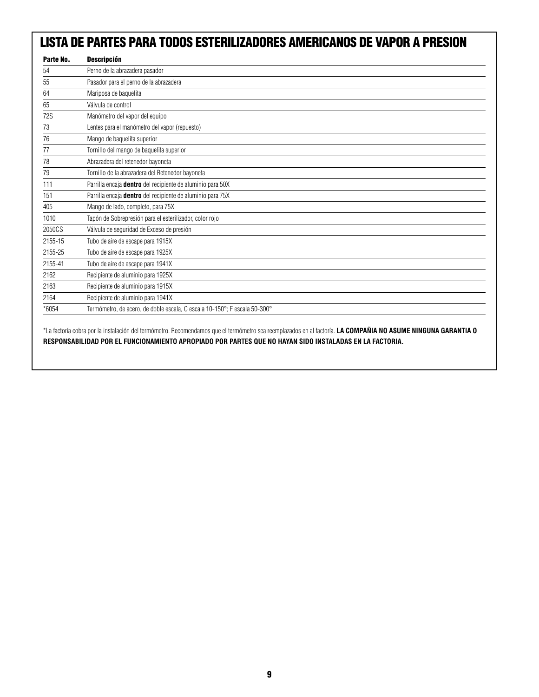## **LISTA DE PARTES PARA TODOS ESTERILIZADORES AMERICANOS DE VAPOR A PRESION**

| Parte No.  | <b>Descripción</b>                                                        |
|------------|---------------------------------------------------------------------------|
| 54         | Perno de la abrazadera pasador                                            |
| 55         | Pasador para el perno de la abrazadera                                    |
| 64         | Mariposa de baquelita                                                     |
| 65         | Válvula de control                                                        |
| <b>72S</b> | Manómetro del vapor del equipo                                            |
| 73         | Lentes para el manómetro del vapor (repuesto)                             |
| 76         | Mango de baquelita superior                                               |
| 77         | Tornillo del mango de baquelita superior                                  |
| 78         | Abrazadera del retenedor bayoneta                                         |
| 79         | Tornillo de la abrazadera del Retenedor bayoneta                          |
| 111        | Parrilla encaja <b>dentro</b> del recipiente de aluminio para 50X         |
| 151        | Parrilla encaja dentro del recipiente de aluminio para 75X                |
| 405        | Mango de lado, completo, para 75X                                         |
| 1010       | Tapón de Sobrepresión para el esterilizador, color rojo                   |
| 2050CS     | Válvula de seguridad de Exceso de presión                                 |
| 2155-15    | Tubo de aire de escape para 1915X                                         |
| 2155-25    | Tubo de aire de escape para 1925X                                         |
| 2155-41    | Tubo de aire de escape para 1941X                                         |
| 2162       | Recipiente de aluminio para 1925X                                         |
| 2163       | Recipiente de aluminio para 1915X                                         |
| 2164       | Recipiente de aluminio para 1941X                                         |
| *6054      | Termómetro, de acero, de doble escala, C escala 10-150°; F escala 50-300° |

\*La factoría cobra por la instalación del termómetro. Recomendamos que el termómetro sea reemplazados en al factoría. **LA COMPAÑIA NO ASUME NINGUNA GARANTIA O RESPONSABILIDAD POR EL FUNCIONAMIENTO APROPIADO POR PARTES QUE NO HAYAN SIDO INSTALADAS EN LA FACTORIA.**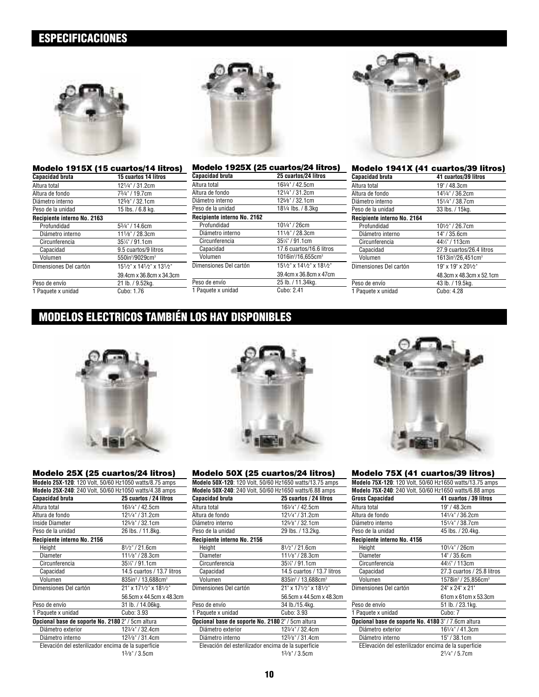## **ESPECIFICACIONES**



| Modelo 1915X (15 cuartos/14 litros) |                                         |
|-------------------------------------|-----------------------------------------|
| <b>Capacidad bruta</b>              | 15 cuartos 14 litros                    |
| Altura total                        | 121/4" / 31.2cm                         |
| Altura de fondo                     | 73/4" / 19.7cm                          |
| Diámetro interno                    | 125/8" / 32.1cm                         |
| Peso de la unidad                   | 15 lbs. / 6.8 kg.                       |
| Recipiente interno No. 2163         |                                         |
| Profundidad                         | 53/4" / 14.6cm                          |
| Diámetro interno                    | 111/8" / 28.3cm                         |
| Circunferencia                      | 35%" / 91.1cm                           |
| Capacidad                           | 9.5 cuartos/9 litros                    |
| Volumen                             | 550in <sup>3</sup> /9029cm <sup>3</sup> |
| Dimensiones Del cartón              | 151/2" x 141/2" x 131/2"                |
|                                     | 39.4cm x 36.8cm x 34.3cm                |
| Peso de envío                       | 21 lb. / 9.52kg.                        |
| 1 Paquete x unidad                  | Cubo: 1.76                              |

|                             | Modelo 1925X (25 cuartos/24 litros)        |
|-----------------------------|--------------------------------------------|
| <b>Capacidad bruta</b>      | 25 cuartos/24 litros                       |
| Altura total                | 163/4" / 42.5cm                            |
| Altura de fondo             | 121/4" / 31.2cm                            |
| Diámetro interno            | 125/8" / 32.1cm                            |
| Peso de la unidad           | 181/4 lbs. / 8.3kg                         |
| Recipiente interno No. 2162 |                                            |
| Profundidad                 | 101/4" / 26cm                              |
| Diámetro interno            | 111/8" / 28.3cm                            |
| Circunferencia              | 35%"/91.1cm                                |
| Capacidad                   | 17.6 cuartos/16.6 litros                   |
| Volumen                     | 1016in <sup>3</sup> /16,655cm <sup>3</sup> |
| Dimensiones Del cartón      | 151/2" x 141/2" x 181/2"                   |
|                             | 39.4cm x 36.8cm x 47cm                     |
| Peso de envío               | 25 lb. / 11.34kg.                          |
| 1 Paquete x unidad          | Cubo: 2.41                                 |



| Modelo 1941X (41 cuartos/39 litros) |                                            |
|-------------------------------------|--------------------------------------------|
| <b>Capacidad bruta</b>              | 41 cuartos/39 litros                       |
| Altura total                        | 19" / 48.3cm                               |
| Altura de fondo                     | 141/4" / 36.2cm                            |
| Diámetro interno                    | 151/4" / 38.7cm                            |
| Peso de la unidad                   | 33 lbs. / 15kg.                            |
| Recipiente interno No. 2164         |                                            |
| Profundidad                         | 101/2" / 26.7cm                            |
| Diámetro interno                    | 14" / 35.6cm                               |
| Circunferencia                      | 441/2" / 113cm                             |
| Capacidad                           | 27.9 cuartos/26.4 litros                   |
| Volumen                             | 1613in <sup>3</sup> /26,451cm <sup>3</sup> |
| Dimensiones Del cartón              | 19" x 19" x 201/2"                         |
|                                     | 48.3cm x 48.3cm x 52.1cm                   |
| Peso de envío                       | 43 lb. / 19.5kg.                           |
| 1 Paquete x unidad                  | Cubo: 4.28                                 |

## **MODELOS ELECTRICOS TAMBIÉN LOS HAY DISPONIBLES**



### **Modelo 25X (25 cuartos/24 litros)**

|                                                          | Modelo 25X-120: 120 Volt, 50/60 Hz1050 watts/8.75 amps |
|----------------------------------------------------------|--------------------------------------------------------|
|                                                          | Modelo 25X-240: 240 Volt, 50/60 Hz1050 watts/4.38 amps |
| Capacidad bruta                                          | 25 cuartos / 24 litros                                 |
| Altura total                                             | 163/4" / 42.5cm                                        |
| Altura de fondo                                          | 121/4" / 31.2cm                                        |
| Inside Diameter                                          | 125/8" / 32.1cm                                        |
| Peso de la unidad                                        | 26 lbs. / 11.8kg.                                      |
| Recipiente interno No. 2156                              |                                                        |
| Height                                                   | $8^{1/2}$ " / 21.6cm                                   |
| Diameter                                                 | 111/8" / 28.3cm                                        |
| Circunferencia                                           | 35%" / 91.1cm                                          |
| Capacidad                                                | 14.5 cuartos / 13.7 litros                             |
| Volumen                                                  | 835in <sup>3</sup> / 13,688cm <sup>3</sup>             |
| Dimensiones Del cartón                                   | 21" x 171/2" x 181/2"                                  |
|                                                          | 56.5cm x 44.5cm x 48.3cm                               |
| Peso de envío                                            | 31 lb. / 14.06kg.                                      |
| 1 Paquete x unidad                                       | Cubo: 3.93                                             |
| <b>Opcional base de soporte No. 2180</b> 2" / 5cm altura |                                                        |
| Diámetro exterior                                        | 123/4" / 32.4cm                                        |
| Diámetro interno                                         | 123/8" / 31.4cm                                        |
|                                                          | Elevación del esterilizador encima de la superficie    |
|                                                          | $13/s$ " / 3.5cm                                       |

#### **Modelo 50X (25 cuartos/24 litros)**

| Modelo 50X-120: 120 Volt, 50/60 Hz1650 watts/13.75 amps        |                                               |
|----------------------------------------------------------------|-----------------------------------------------|
| <b>Modelo 50X-240</b> : 240 Volt, 50/60 Hz1650 watts/6.88 amps |                                               |
| Capacidad bruta                                                | 25 cuartos / 24 litros                        |
| Altura total                                                   | 163/4" / 42.5cm                               |
| Altura de fondo                                                | 121/4" / 31.2cm                               |
| Diámetro interno                                               | 125/8" / 32.1cm                               |
| Peso de la unidad                                              | 29 lbs. / 13.2kg.                             |
| Recipiente interno No. 2156                                    |                                               |
| Height                                                         | $8^{1/2}$ " / 21.6cm                          |
| Diameter                                                       | 111/8" / 28.3cm                               |
| Circunferencia                                                 | 35%" / 91.1cm                                 |
| Capacidad                                                      | 14.5 cuartos / 13.7 litros                    |
| Volumen                                                        | $835$ in <sup>3</sup> / 13,688cm <sup>3</sup> |
| Dimensiones Del cartón                                         | 21" x 171/2" x 181/2"                         |
|                                                                | 56.5cm x 44.5cm x 48.3cm                      |
| Peso de envío                                                  | 34 lb./15.4kg.                                |
| 1 Paquete x unidad                                             | Cubo: 3.93                                    |
| Opcional base de soporte No. 2180 2" / 5cm altura              |                                               |
| Diámetro exterior                                              | 123/4" / 32.4cm                               |
| Diámetro interno                                               | 123/8" / 31.4cm                               |
| Elevación del esterilizador encima de la superficie            |                                               |
|                                                                | 13/s''/3.5cm                                  |
|                                                                |                                               |



### **Modelo 75X (41 cuartos/39 litros)**

|                                                      | Modelo 75X-120: 120 Volt, 50/60 Hz1650 watts/13.75 amps |
|------------------------------------------------------|---------------------------------------------------------|
|                                                      | Modelo 75X-240: 240 Volt, 50/60 Hz1650 watts/6.88 amps  |
| Gross Capacidad                                      | 41 cuartos / 39 litros                                  |
| Altura total                                         | 19" / 48.3cm                                            |
| Altura de fondo                                      | 141/4" / 36.2cm                                         |
| Diámetro interno                                     | 151/4" / 38.7cm                                         |
| Peso de la unidad                                    | 45 lbs. / 20.4kg.                                       |
| Recipiente interno No. 4156                          |                                                         |
| Height                                               | 101/4" / 26cm                                           |
| Diameter                                             | 14" / 35.6cm                                            |
| Circunferencia                                       | 441/2" / 113cm                                          |
| Capacidad                                            | 27.3 cuartos / 25.8 litros                              |
| Volumen                                              | 1578in <sup>3</sup> / 25,856cm <sup>3</sup>             |
| Dimensiones Del cartón                               | 24" x 24" x 21"                                         |
|                                                      | 61cm x 61cm x 53.3cm                                    |
| Peso de envío                                        | 51 lb. / 23.1kg.                                        |
| 1 Paquete x unidad                                   | Cubo: 7                                                 |
| Opcional base de soporte No. 4180 3" / 7.6cm altura  |                                                         |
| Diámetro exterior                                    | 161/4" / 41.3cm                                         |
| Diámetro interno                                     | 15" / 38.1cm                                            |
| EElevación del esterilizador encima de la superficie |                                                         |
|                                                      | 21/4" / 5.7cm                                           |